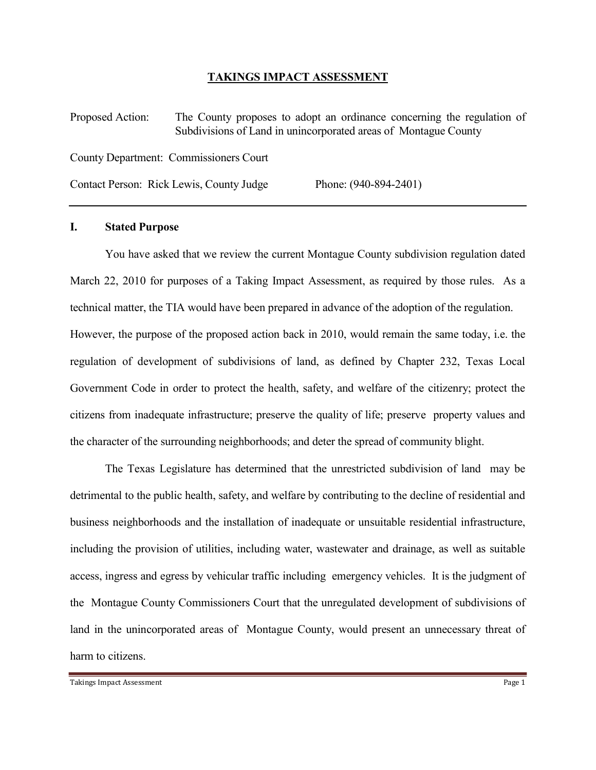### TAKINGS IMPACT ASSESSMENT

Proposed Action: The County proposes to adopt an ordinance concerning the regulation of Subdivisions of Land in unincorporated areas of Montague County County Department: Commissioners Court Contact Person: Rick Lewis, County Judge Phone: (940-894-2401)

## I. Stated Purpose

 You have asked that we review the current Montague County subdivision regulation dated March 22, 2010 for purposes of a Taking Impact Assessment, as required by those rules. As a technical matter, the TIA would have been prepared in advance of the adoption of the regulation. However, the purpose of the proposed action back in 2010, would remain the same today, i.e. the regulation of development of subdivisions of land, as defined by Chapter 232, Texas Local Government Code in order to protect the health, safety, and welfare of the citizenry; protect the citizens from inadequate infrastructure; preserve the quality of life; preserve property values and the character of the surrounding neighborhoods; and deter the spread of community blight.

 The Texas Legislature has determined that the unrestricted subdivision of land may be detrimental to the public health, safety, and welfare by contributing to the decline of residential and business neighborhoods and the installation of inadequate or unsuitable residential infrastructure, including the provision of utilities, including water, wastewater and drainage, as well as suitable access, ingress and egress by vehicular traffic including emergency vehicles. It is the judgment of the Montague County Commissioners Court that the unregulated development of subdivisions of land in the unincorporated areas of Montague County, would present an unnecessary threat of harm to citizens.

Takings Impact Assessment Page 1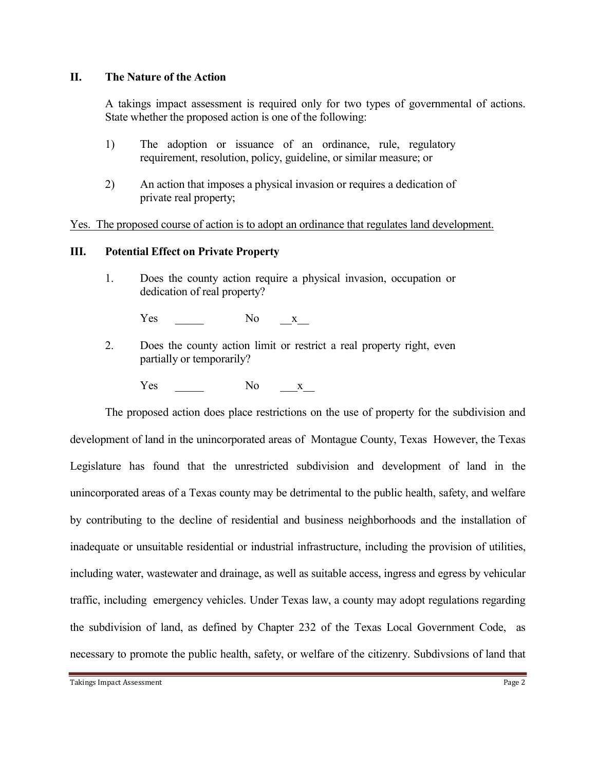# II. The Nature of the Action

 A takings impact assessment is required only for two types of governmental of actions. State whether the proposed action is one of the following:

- 1) The adoption or issuance of an ordinance, rule, regulatory requirement, resolution, policy, guideline, or similar measure; or
- 2) An action that imposes a physical invasion or requires a dedication of private real property;

Yes. The proposed course of action is to adopt an ordinance that regulates land development.

# III. Potential Effect on Private Property

 1. Does the county action require a physical invasion, occupation or dedication of real property?

Yes No  $X$ 

- 2. Does the county action limit or restrict a real property right, even partially or temporarily?
	- Yes No  $X$

 The proposed action does place restrictions on the use of property for the subdivision and development of land in the unincorporated areas of Montague County, Texas However, the Texas Legislature has found that the unrestricted subdivision and development of land in the unincorporated areas of a Texas county may be detrimental to the public health, safety, and welfare by contributing to the decline of residential and business neighborhoods and the installation of inadequate or unsuitable residential or industrial infrastructure, including the provision of utilities, including water, wastewater and drainage, as well as suitable access, ingress and egress by vehicular traffic, including emergency vehicles. Under Texas law, a county may adopt regulations regarding the subdivision of land, as defined by Chapter 232 of the Texas Local Government Code, as necessary to promote the public health, safety, or welfare of the citizenry. Subdivsions of land that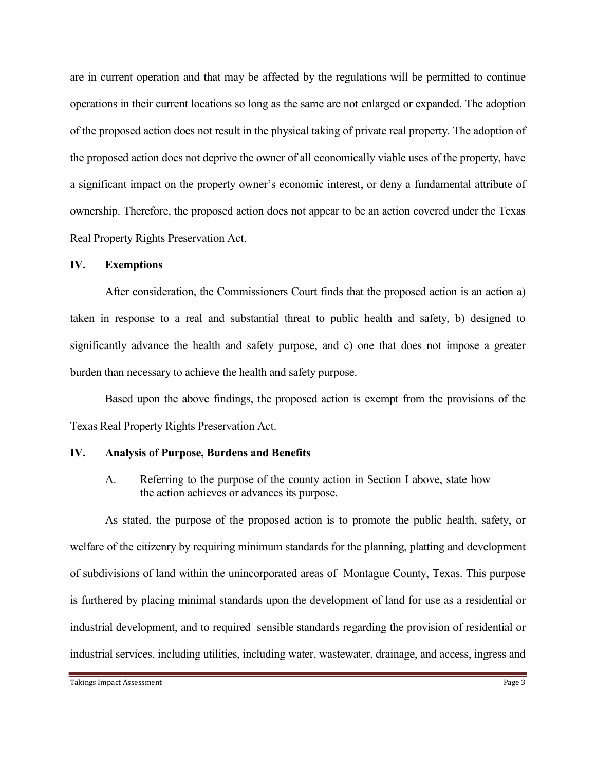are in current operation and that may be affected by the regulations will be permitted to continue operations in their current locations so long as the same are not enlarged or expanded. The adoption of the proposed action does not result in the physical taking of private real property. The adoption of the proposed action does not deprive the owner of all economically viable uses of the property, have a significant impact on the property owner's economic interest, or deny a fundamental attribute of ownership. Therefore, the proposed action does not appear to be an action covered under the Texas Real Property Rights Preservation Act.

### IV. Exemptions

 After consideration, the Commissioners Court finds that the proposed action is an action a) taken in response to a real and substantial threat to public health and safety, b) designed to significantly advance the health and safety purpose, and c) one that does not impose a greater burden than necessary to achieve the health and safety purpose.

 Based upon the above findings, the proposed action is exempt from the provisions of the Texas Real Property Rights Preservation Act.

### IV. Analysis of Purpose, Burdens and Benefits

A. Referring to the purpose of the county action in Section I above, state how the action achieves or advances its purpose.

 As stated, the purpose of the proposed action is to promote the public health, safety, or welfare of the citizenry by requiring minimum standards for the planning, platting and development of subdivisions of land within the unincorporated areas of Montague County, Texas. This purpose is furthered by placing minimal standards upon the development of land for use as a residential or industrial development, and to required sensible standards regarding the provision of residential or industrial services, including utilities, including water, wastewater, drainage, and access, ingress and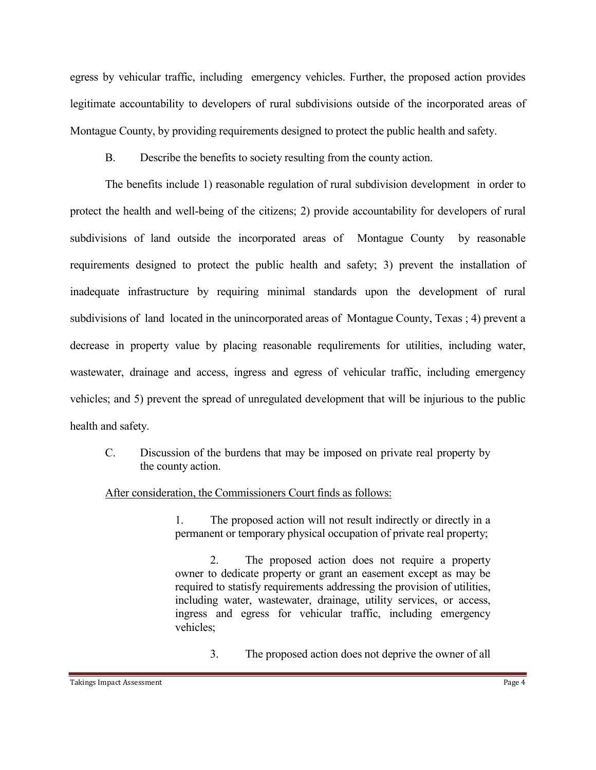egress by vehicular traffic, including emergency vehicles. Further, the proposed action provides legitimate accountability to developers of rural subdivisions outside of the incorporated areas of Montague County, by providing requirements designed to protect the public health and safety.

B. Describe the benefits to society resulting from the county action.

 The benefits include 1) reasonable regulation of rural subdivision development in order to protect the health and well-being of the citizens; 2) provide accountability for developers of rural subdivisions of land outside the incorporated areas of Montague County by reasonable requirements designed to protect the public health and safety; 3) prevent the installation of inadequate infrastructure by requiring minimal standards upon the development of rural subdivisions of land located in the unincorporated areas of Montague County, Texas ; 4) prevent a decrease in property value by placing reasonable requlirements for utilities, including water, wastewater, drainage and access, ingress and egress of vehicular traffic, including emergency vehicles; and 5) prevent the spread of unregulated development that will be injurious to the public health and safety.

C. Discussion of the burdens that may be imposed on private real property by the county action.

### After consideration, the Commissioners Court finds as follows:

 1. The proposed action will not result indirectly or directly in a permanent or temporary physical occupation of private real property;

 2. The proposed action does not require a property owner to dedicate property or grant an easement except as may be required to statisfy requirements addressing the provision of utilities, including water, wastewater, drainage, utility services, or access, ingress and egress for vehicular traffic, including emergency vehicles;

3. The proposed action does not deprive the owner of all

#### Takings Impact Assessment **Page 4**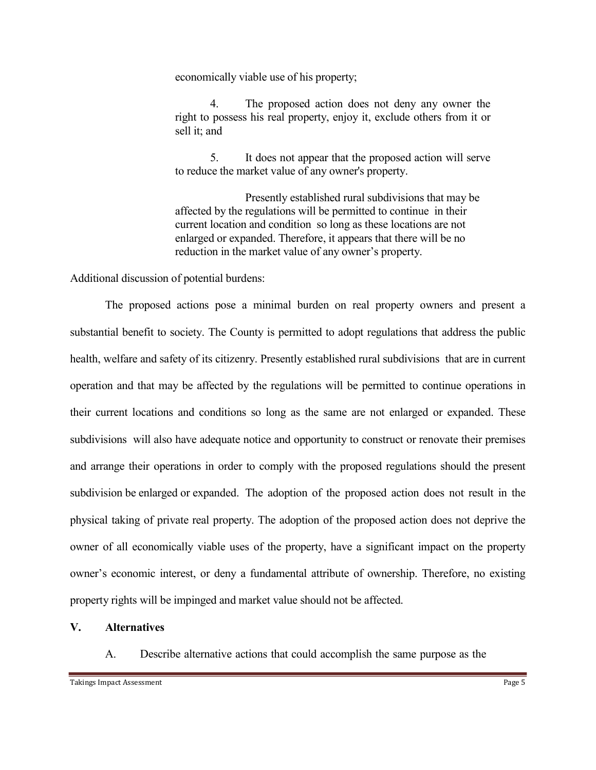economically viable use of his property;

 4. The proposed action does not deny any owner the right to possess his real property, enjoy it, exclude others from it or sell it; and

 5. It does not appear that the proposed action will serve to reduce the market value of any owner's property.

 Presently established rural subdivisions that may be affected by the regulations will be permitted to continue in their current location and condition so long as these locations are not enlarged or expanded. Therefore, it appears that there will be no reduction in the market value of any owner's property.

Additional discussion of potential burdens:

 The proposed actions pose a minimal burden on real property owners and present a substantial benefit to society. The County is permitted to adopt regulations that address the public health, welfare and safety of its citizenry. Presently established rural subdivisions that are in current operation and that may be affected by the regulations will be permitted to continue operations in their current locations and conditions so long as the same are not enlarged or expanded. These subdivisions will also have adequate notice and opportunity to construct or renovate their premises and arrange their operations in order to comply with the proposed regulations should the present subdivision be enlarged or expanded. The adoption of the proposed action does not result in the physical taking of private real property. The adoption of the proposed action does not deprive the owner of all economically viable uses of the property, have a significant impact on the property owner's economic interest, or deny a fundamental attribute of ownership. Therefore, no existing property rights will be impinged and market value should not be affected.

### V. Alternatives

A. Describe alternative actions that could accomplish the same purpose as the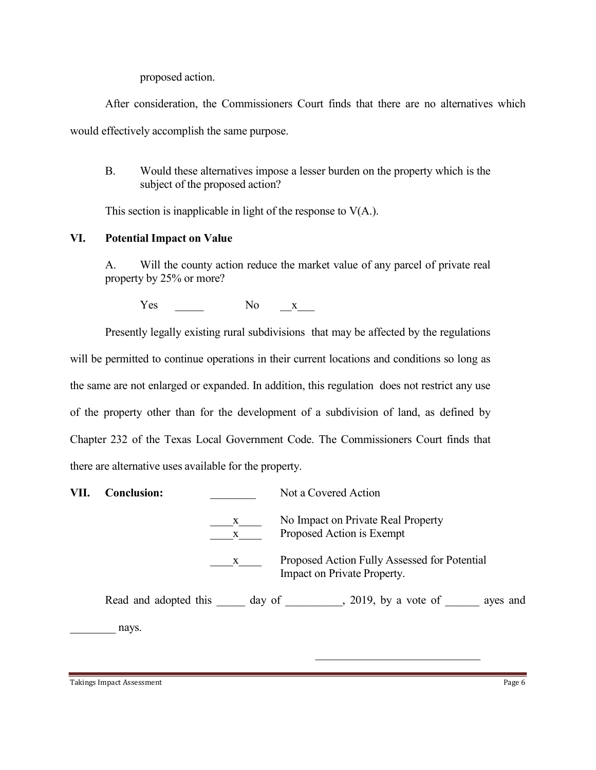proposed action.

 After consideration, the Commissioners Court finds that there are no alternatives which would effectively accomplish the same purpose.

 B. Would these alternatives impose a lesser burden on the property which is the subject of the proposed action?

This section is inapplicable in light of the response to  $V(A)$ .

# VI. Potential Impact on Value

 A. Will the county action reduce the market value of any parcel of private real property by 25% or more?

Yes No  $X$ 

 Presently legally existing rural subdivisions that may be affected by the regulations will be permitted to continue operations in their current locations and conditions so long as the same are not enlarged or expanded. In addition, this regulation does not restrict any use of the property other than for the development of a subdivision of land, as defined by Chapter 232 of the Texas Local Government Code. The Commissioners Court finds that there are alternative uses available for the property.

| VII. | <b>Conclusion:</b>    |                   | Not a Covered Action                                                        |
|------|-----------------------|-------------------|-----------------------------------------------------------------------------|
|      |                       | X<br>$\mathbf{X}$ | No Impact on Private Real Property<br>Proposed Action is Exempt             |
|      |                       | X                 | Proposed Action Fully Assessed for Potential<br>Impact on Private Property. |
|      | Read and adopted this |                   | $, 2019$ , by a vote of<br>day of<br>ayes and                               |
|      | nays.                 |                   |                                                                             |

Takings Impact Assessment Page 6